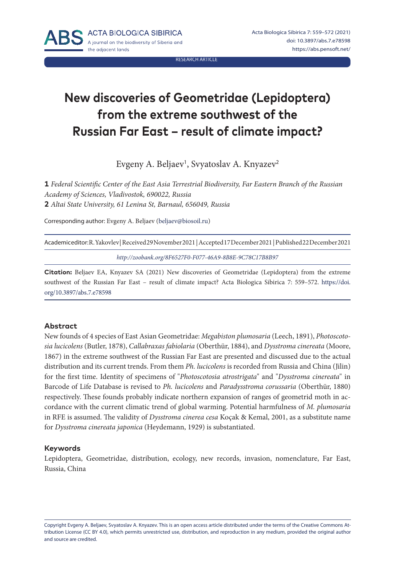RESEARCH ARTICLE

# **New discoveries of Geometridae (Lepidoptera) from the extreme southwest of the Russian Far East – result of climate impact?**

Evgeny A. Beljaev<sup>1</sup>, Svyatoslav A. Knyazev<sup>2</sup>

**1** *Federal Scientific Center of the East Asia Terrestrial Biodiversity, Far Eastern Branch of the Russian Academy of Sciences, Vladivostok, 690022, Russia* **2** *Altai State University, 61 Lenina St, Barnaul, 656049, Russia*

Corresponding author: Evgeny A. Beljaev ([beljaev@biosoil.ru\)](mailto:beljaev%40biosoil.ru?subject=)

Academic editor: R. Yakovlev | Received 29 November 2021 | Accepted 17 December 2021 | Published 22 December 2021

*<http://zoobank.org/8F6527F0-F077-46A9-8B8E-9C78C17B8B97>*

**Citation:** Beljaev EA, Knyazev SA (2021) New discoveries of Geometridae (Lepidoptera) from the extreme southwest of the Russian Far East – result of climate impact? Acta Biologica Sibirica 7: 559–572. [https://doi.](https://doi.org/10.3897/abs.7.e78598) [org/10.3897/abs.7.e78598](https://doi.org/10.3897/abs.7.e78598)

#### **Abstract**

New founds of 4 species of East Asian Geometridae: *Megabiston plumosaria* (Leech, 1891), *Photoscotosia lucicolens* (Butler, 1878), *Callabraxas fabiolaria* (Oberthür, 1884), and *Dysstroma cinereata* (Moore, 1867) in the extreme southwest of the Russian Far East are presented and discussed due to the actual distribution and its current trends. From them *Ph. lucicolens* is recorded from Russia and China (Jilin) for the first time. Identity of specimens of "*Photoscotosia atrostrigata*" and "*Dysstroma cinereata*" in Barcode of Life Database is revised to *Ph. lucicolens* and *Paradysstroma corussaria* (Oberthür, 1880) respectively. These founds probably indicate northern expansion of ranges of geometrid moth in accordance with the current climatic trend of global warming. Potential harmfulness of *M. plumosaria* in RFE is assumed. The validity of *Dysstroma cinerea cesa* Koçak & Kemal, 2001, as a substitute name for *Dysstroma cinereata japonica* (Heydemann, 1929) is substantiated.

#### **Keywords**

Lepidoptera, Geometridae, distribution, ecology, new records, invasion, nomenclature, Far East, Russia, China

Copyright Evgeny A. Beljaev, Svyatoslav A. Knyazev. This is an open access article distributed under the terms of the [Creative Commons At](http://creativecommons.org/licenses/by/4.0/)[tribution License \(CC BY 4.0\)](http://creativecommons.org/licenses/by/4.0/), which permits unrestricted use, distribution, and reproduction in any medium, provided the original author and source are credited.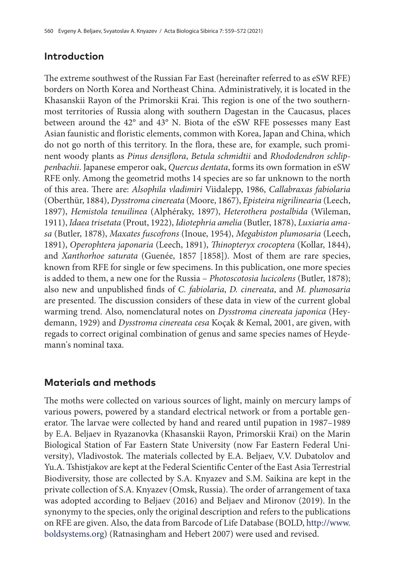## **Introduction**

The extreme southwest of the Russian Far East (hereinafter referred to as eSW RFE) borders on North Korea and Northeast China. Administratively, it is located in the Khasanskii Rayon of the Primorskii Krai. This region is one of the two southernmost territories of Russia along with southern Dagestan in the Caucasus, places between around the 42° and 43° N. Biota of the eSW RFE possesses many East Asian faunistic and floristic elements, common with Korea, Japan and China, which do not go north of this territory. In the flora, these are, for example, such prominent woody plants as *Pinus densiflora*, *Betula schmidtii* and *Rhododendron schlippenbachii*. Japanese emperor oak, *Quercus dentata*, forms its own formation in eSW RFE only. Among the geometrid moths 14 species are so far unknown to the north of this area. There are: *Alsophila vladimiri* Viidalepp, 1986, *Callabraxas fabiolaria* (Oberthür, 1884), *Dysstroma cinereata* (Moore, 1867), *Episteira nigrilinearia* (Leech, 1897), *Hemistola tenuilinea* (Alphéraky, 1897), *Heterothera postalbida* (Wileman, 1911), *Idaea trisetata* (Prout, 1922), *Idiotephria amelia* (Butler, 1878), *Luxiaria amasa* (Butler, 1878), *Maxates fuscofrons* (Inoue, 1954), *Megabiston plumosaria* (Leech, 1891), *Operophtera japonaria* (Leech, 1891), *Thinopteryx crocoptera* (Kollar, 1844), and *Xanthorhoe saturata* (Guenée, 1857 [1858]). Most of them are rare species, known from RFE for single or few specimens. In this publication, one more species is added to them, a new one for the Russia – *Photoscotosia lucicolens* (Butler, 1878); also new and unpublished finds of *C. fabiolaria*, *D. cinereata*, and *M. plumosaria* are presented. The discussion considers of these data in view of the current global warming trend. Also, nomenclatural notes on *Dysstroma cinereata japonica* (Heydemann, 1929) and *Dysstroma cinereata cesa* Koçak & Kemal, 2001, are given, with regads to correct original combination of genus and same species names of Heydemann's nominal taxa.

# **Materials and methods**

The moths were collected on various sources of light, mainly on mercury lamps of various powers, powered by a standard electrical network or from a portable generator. The larvae were collected by hand and reared until pupation in 1987–1989 by E.A. Beljaev in Ryazanovka (Khasanskii Rayon, Primorskii Krai) on the Marin Biological Station of Far Eastern State University (now Far Eastern Federal University), Vladivostok. The materials collected by E.A. Beljaev, V.V. Dubatolov and Yu.A. Tshistjakov are kept at the Federal Scientific Center of the East Asia Terrestrial Biodiversity, those are collected by S.A. Knyazev and S.M. Saikina are kept in the private collection of S.A. Knyazev (Omsk, Russia). The order of arrangement of taxa was adopted according to Beljaev (2016) and Beljaev and Mironov (2019). In the synonymy to the species, only the original description and refers to the publications on RFE are given. Also, the data from Barcode of Life Database (BOLD, [http://www.](http://www.boldsystems.org) [boldsystems.org](http://www.boldsystems.org)) (Ratnasingham and Hebert 2007) were used and revised.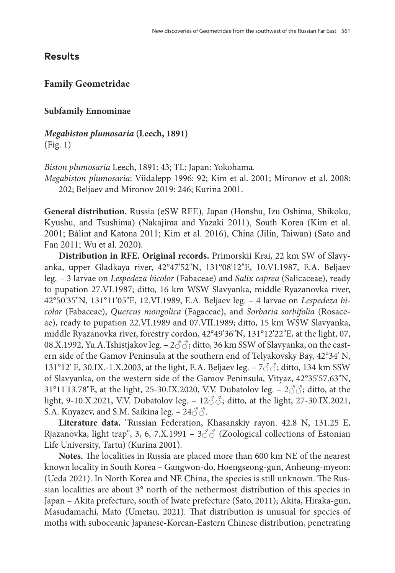## **Results**

## **Family Geometridae**

### **Subfamily Ennominae**

*Megabiston plumosaria* **(Leech, 1891)** (Fig. 1)

*Biston plumosaria* Leech, 1891: 43; TL: Japan: Yokohama.

*Megabiston plumosaria*: Viidalepp 1996: 92; Kim et al. 2001; Mironov et al. 2008: 202; Beljaev and Mironov 2019: 246; Kurina 2001.

**General distribution.** Russia (eSW RFE), Japan (Honshu, Izu Oshima, Shikoku, Kyushu, and Tsushima) (Nakajima and Yazaki 2011), South Korea (Kim et al. 2001; Bálint and Katona 2011; Kim et al. 2016), China (Jilin, Taiwan) (Sato and Fan 2011; Wu et al. 2020).

**Distribution in RFE. Original records.** Primorskii Krai, 22 km SW of Slavyanka, upper Gladkaya river, 42°47'52"N, 131°08'12"E, 10.VI.1987, E.A. Beljaev leg. – 3 larvae on *Lespedeza bicolor* (Fabaceae) and *Salix caprea* (Salicaceae), ready to pupation 27.VI.1987; ditto, 16 km WSW Slavyanka, middle Ryazanovka river, 42°50'35"N, 131°11'05"E, 12.VI.1989, E.A. Beljaev leg. – 4 larvae on *Lespedeza bicolor* (Fabaceae), *Quercus mongolica* (Fagaceae), and *Sorbaria sorbifolia* (Rosaceae), ready to pupation 22.VI.1989 and 07.VII.1989; ditto, 15 km WSW Slavyanka, middle Ryazanovka river, forestry cordon, 42°49'36"N, 131°12'22"E, at the light, 07, 08.X.1992, Yu.A.Tshistjakov leg. –  $2\text{O}3$ ; ditto, 36 km SSW of Slavyanka, on the eastern side of the Gamov Peninsula at the southern end of Telyakovsky Bay, 42°34' N, 131°12' E, 30.IX.-1.X.2003, at the light, E.A. Beljaev leg. – 7♂♂; ditto, 134 km SSW of Slavyanka, on the western side of the Gamov Peninsula, Vityaz, 42°35'57.63"N, 31°11'13.78"E, at the light, 25-30.IX.2020, V.V. Dubatolov leg.  $-2\text{ }3\text{ }3\text{ }3\text{ }3\text{ }3\text{ }3\text{ }3\text{ }4$  itto, at the light, 9-10.X.2021, V.V. Dubatolov leg. – 12♂♂; ditto, at the light, 27-30.IX.2021, S.A. Knyazev, and S.M. Saikina leg. – 24 $\Im$ .

**Literature data.** "Russian Federation, Khasanskiy rayon. 42.8 N, 131.25 E, Rjazanovka, light trap", 3, 6, 7.X.1991 –  $3\text{O}$  (Zoological collections of Estonian Life University, Tartu) (Kurina 2001).

**Notes.** The localities in Russia are placed more than 600 km NE of the nearest known locality in South Korea – Gangwon-do, Hoengseong-gun, Anheung-myeon: (Ueda 2021). In North Korea and NE China, the species is still unknown. The Russian localities are about 3° north of the nethermost distribution of this species in Japan – Akita prefecture, south of Iwate prefecture (Sato, 2011); Akita, Hiraka-gun, Masudamachi, Mato (Umetsu, 2021). That distribution is unusual for species of moths with suboceanic Japanese-Korean-Eastern Chinese distribution, penetrating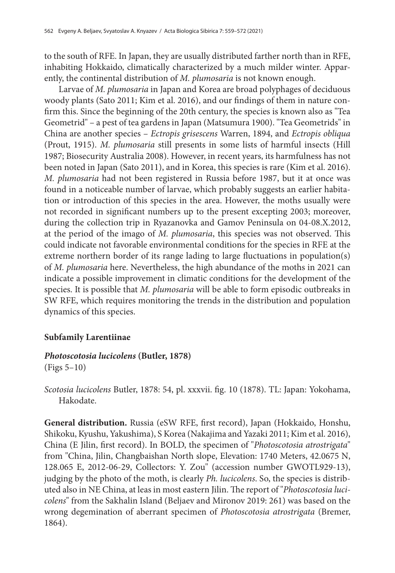to the south of RFE. In Japan, they are usually distributed farther north than in RFE, inhabiting Hokkaido, climatically characterized by a much milder winter. Apparently, the continental distribution of *M. plumosaria* is not known enough.

Larvae of *M. plumosaria* in Japan and Korea are broad polyphages of deciduous woody plants (Sato 2011; Kim et al. 2016), and our findings of them in nature confirm this. Since the beginning of the 20th century, the species is known also as "Tea Geometrid" – a pest of tea gardens in Japan (Matsumura 1900). "Tea Geometrids" in China are another species – *Ectropis grisescens* Warren, 1894, and *Ectropis obliqua* (Prout, 1915). *M. plumosaria* still presents in some lists of harmful insects (Hill 1987; Biosecurity Australia 2008). However, in recent years, its harmfulness has not been noted in Japan (Sato 2011), and in Korea, this species is rare (Kim et al. 2016). *M. plumosaria* had not been registered in Russia before 1987, but it at once was found in a noticeable number of larvae, which probably suggests an earlier habitation or introduction of this species in the area. However, the moths usually were not recorded in significant numbers up to the present excepting 2003; moreover, during the collection trip in Ryazanovka and Gamov Peninsula on 04-08.X.2012, at the period of the imago of *M. plumosaria*, this species was not observed. This could indicate not favorable environmental conditions for the species in RFE at the extreme northern border of its range lading to large fluctuations in population(s) of *M. plumosaria* here. Nevertheless, the high abundance of the moths in 2021 can indicate a possible improvement in climatic conditions for the development of the species. It is possible that *M. plumosaria* will be able to form episodic outbreaks in SW RFE, which requires monitoring the trends in the distribution and population dynamics of this species.

### **Subfamily Larentiinae**

### *Photoscotosia lucicolens* **(Butler, 1878)**

(Figs 5–10)

*Scotosia lucicolens* Butler, 1878: 54, pl. xxxvii. fig. 10 (1878). TL: Japan: Yokohama, Hakodate.

**General distribution.** Russia (eSW RFE, first record), Japan (Hokkaido, Honshu, Shikoku, Kyushu, Yakushima), S Korea (Nakajima and Yazaki 2011; Kim et al. 2016), China (E Jilin, first record). In BOLD, the specimen of "*Photoscotosia atrostrigata*" from "China, Jilin, Changbaishan North slope, Elevation: 1740 Meters, 42.0675 N, 128.065 E, 2012-06-29, Collectors: Y. Zou" (accession number GWOTL929-13), judging by the photo of the moth, is clearly *Ph. lucicolens*. So, the species is distributed also in NE China, at leas in most eastern Jilin. The report of "*Photoscotosia lucicolens*" from the Sakhalin Island (Beljaev and Mironov 2019: 261) was based on the wrong degemination of aberrant specimen of *Photoscotosia atrostrigata* (Bremer, 1864).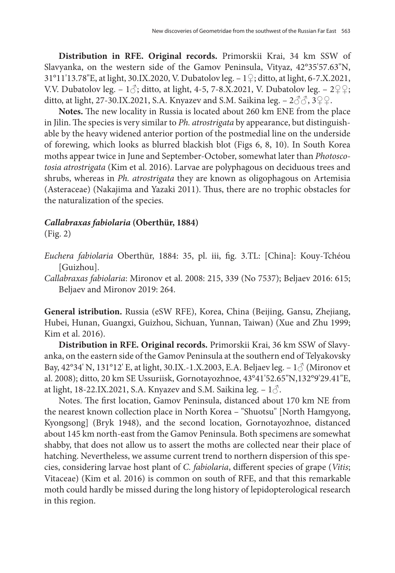**Distribution in RFE. Original records.** Primorskii Krai, 34 km SSW of Slavyanka, on the western side of the Gamov Peninsula, Vityaz, 42°35'57.63"N, 31°11'13.78"E, at light, 30.IX.2020, V. Dubatolov leg. – 1♀; ditto, at light, 6-7.X.2021, V.V. Dubatolov leg. – 1 $\Diamond$ ; ditto, at light, 4-5, 7-8.X.2021, V. Dubatolov leg. – 2 $\Diamond$ ; ditto, at light, 27-30.IX.2021, S.A. Knyazev and S.M. Saikina leg. –  $2\text{d}3$ ,  $3\text{d}2\text{d}$ .

**Notes.** The new locality in Russia is located about 260 km ENE from the place in Jilin. The species is very similar to *Ph. atrostrigata* by appearance, but distinguishable by the heavy widened anterior portion of the postmedial line on the underside of forewing, which looks as blurred blackish blot (Figs 6, 8, 10). In South Korea moths appear twice in June and September-October, somewhat later than *Photoscotosia atrostrigata* (Kim et al. 2016). Larvae are polyphagous on deciduous trees and shrubs, whereas in *Ph. atrostrigata* they are known as oligophagous on Artemisia (Asteraceae) (Nakajima and Yazaki 2011). Thus, there are no trophic obstacles for the naturalization of the species.

### *Callabraxas fabiolaria* **(Oberthür, 1884)**

(Fig. 2)

- *Euchera fabiolaria* Oberthür, 1884: 35, pl. iii, fig. 3.TL: [China]: Kouy-Tchéou [Guizhou].
- *Callabraxas fabiolaria*: Mironov et al. 2008: 215, 339 (No 7537); Beljaev 2016: 615; Beljaev and Mironov 2019: 264.

**General istribution.** Russia (eSW RFE), Korea, China (Beijing, Gansu, Zhejiang, Hubei, Hunan, Guangxi, Guizhou, Sichuan, Yunnan, Taiwan) (Xue and Zhu 1999; Kim et al. 2016).

**Distribution in RFE. Original records.** Primorskii Krai, 36 km SSW of Slavyanka, on the eastern side of the Gamov Peninsula at the southern end of Telyakovsky Bay, 42°34' N, 131°12' E, at light, 30.IX.-1.X.2003, E.A. Beljaev leg. – 1♂ (Mironov et al. 2008); ditto, 20 km SE Ussuriisk, Gornotayozhnoe, 43°41'52.65"N,132°9'29.41"E, at light, 18-22.IX.2021, S.A. Knyazev and S.M. Saikina leg.  $-1\delta$ .

Notes. The first location, Gamov Peninsula, distanced about 170 km NE from the nearest known collection place in North Korea – "Shuotsu" [North Hamgyong, Kyongsong] (Bryk 1948), and the second location, Gornotayozhnoe, distanced about 145 km north-east from the Gamov Peninsula. Both specimens are somewhat shabby, that does not allow us to assert the moths are collected near their place of hatching. Nevertheless, we assume current trend to northern dispersion of this species, considering larvae host plant of *C. fabiolaria*, different species of grape (*Vitis*; Vitaceae) (Kim et al. 2016) is common on south of RFE, and that this remarkable moth could hardly be missed during the long history of lepidopterological research in this region.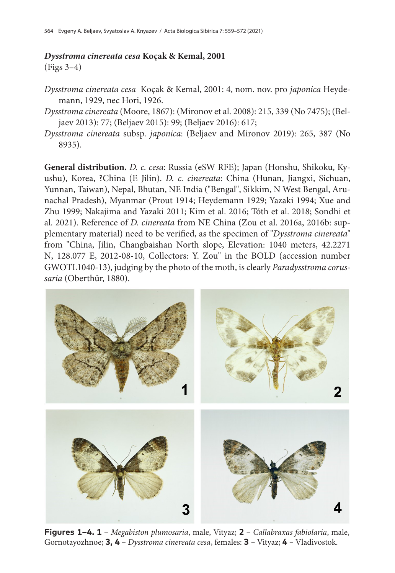# *Dysstroma cinereata cesa* **Koçak & Kemal, 2001**

(Figs 3–4)

- *Dysstroma cinereata cesa* Koçak & Kemal, 2001: 4, nom. nov. pro *japonica* Heydemann, 1929, nec Hori, 1926.
- *Dysstroma cinereata* (Moore, 1867): (Mironov et al. 2008): 215, 339 (No 7475); (Beljaev 2013): 77; (Beljaev 2015): 99; (Beljaev 2016): 617;
- *Dysstroma cinereata* subsp. *japonica*: (Beljaev and Mironov 2019): 265, 387 (No 8935).

**General distribution.** *D. c. cesa*: Russia (eSW RFE); Japan (Honshu, Shikoku, Kyushu), Korea, ?China (E Jilin). *D. c. cinereata*: China (Hunan, Jiangxi, Sichuan, Yunnan, Taiwan), Nepal, Bhutan, NE India ("Bengal", Sikkim, N West Bengal, Arunachal Pradesh), Myanmar (Prout 1914; Heydemann 1929; Yazaki 1994; Xue and Zhu 1999; Nakajima and Yazaki 2011; Kim et al. 2016; Tóth et al. 2018; Sondhi et al. 2021). Reference of *D. cinereata* from NE China (Zou et al. 2016a, 2016b: supplementary material) need to be verified, as the specimen of "*Dysstroma cinereata*" from "China, Jilin, Changbaishan North slope, Elevation: 1040 meters, 42.2271 N, 128.077 E, 2012-08-10, Collectors: Y. Zou" in the BOLD (accession number GWOTL1040-13), judging by the photo of the moth, is clearly *Paradysstroma corussaria* (Oberthür, 1880).



**Figures 1–4. 1 –** *Megabiston plumosaria*, male, Vityaz; **2 –** *Callabraxas fabiolaria*, male, Gornotayozhnoe; **3, 4 –** *Dysstroma cinereata cesa*, females: **3 –** Vityaz; **4 –** Vladivostok.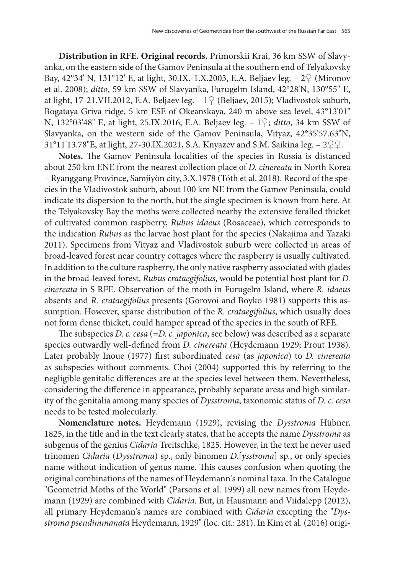**Distribution in RFE. Original records.** Primorskii Krai, 36 km SSW of Slavyanka, on the eastern side of the Gamov Peninsula at the southern end of Telyakovsky Bay, 42°34' N, 131°12' E, at light, 30.IX.-1.X.2003, E.A. Beljaev leg. – 2♀ (Mironov et al. 2008); *ditto*, 59 km SSW of Slavyanka, Furugelm Island, 42°28'N, 130°55'' E, at light, 17-21.VII.2012, E.A. Beljaev leg. – 1♀ (Beljaev, 2015); Vladivostok suburb, Bogataya Griva ridge, 5 km ESE of Okeanskaya, 240 m above sea level, 43°13'01" N, 132°03'48" E, at light, 25.IX.2016, E.A. Beljaev leg. – 1♀; *ditto*, 34 km SSW of Slavyanka, on the western side of the Gamov Peninsula, Vityaz, 42°35'57.63"N, 31°11'13.78"E, at light, 27-30.IX.2021, S.A. Knyazev and S.M. Saikina leg. –  $2QQ$ .

**Notes.** The Gamov Peninsula localities of the species in Russia is distanced about 250 km ENE from the nearest collection place of *D. cinereata* in North Korea – Ryanggang Province, Samjiyŏn city, 3.X.1978 (Tóth et al. 2018). Record of the species in the Vladivostok suburb, about 100 km NE from the Gamov Peninsula, could indicate its dispersion to the north, but the single specimen is known from here. At the Telyakovsky Bay the moths were collected nearby the extensive feralled thicket of cultivated common raspberry, *Rubus idaeus* (Rosaceae), which corresponds to the indication *Rubus* as the larvae host plant for the species (Nakajima and Yazaki 2011). Specimens from Vityaz and Vladivostok suburb were collected in areas of broad-leaved forest near country cottages where the raspberry is usually cultivated. In addition to the culture raspberry, the only native raspberry associated with glades in the broad-leaved forest, *Rubus crataegifolius*, would be potential host plant for *D. cinereata* in S RFE. Observation of the moth in Furugelm Island, where *R. idaeus* absents and *R. crataegifolius* presents (Gorovoi and Boyko 1981) supports this assumption. However, sparse distribution of the *R. crataegifolius*, which usually does not form dense thicket, could hamper spread of the species in the south of RFE.

The subspecies *D. c. cesa* (=*D. c. japonica*, see below) was described as a separate species outwardly well-defined from *D. cinereata* (Heydemann 1929; Prout 1938). Later probably Inoue (1977) first subordinated *cesa* (as *japonica*) to *D. cinereata* as subspecies without comments. Choi (2004) supported this by referring to the negligible genitalic differences are at the species level between them. Nevertheless, considering the difference in appearance, probably separate areas and high similarity of the genitalia among many species of *Dysstroma*, taxonomic status of *D. c. cesa* needs to be tested molecularly.

**Nomenclature notes.** Heydemann (1929), revising the *Dysstroma* Hübner, 1825, in the title and in the text clearly states, that he accepts the name *Dysstroma* as subgenus of the genius *Cidaria* Treitschke, 1825. However, in the text he never used trinomen *Cidaria* (*Dysstroma*) sp., only binomen *D.*[*ysstroma*] sp., or only species name without indication of genus name. This causes confusion when quoting the original combinations of the names of Heydemann's nominal taxa. In the Catalogue "Geometrid Moths of the World" (Parsons et al. 1999) all new names from Heydemann (1929) are combined with *Cidaria*. But, in Hausmann and Viidalepp (2012), all primary Heydemann's names are combined with *Cidaria* excepting the "*Dysstroma pseudimmanata* Heydemann, 1929" (loc. cit.: 281). In Kim et al. (2016) origi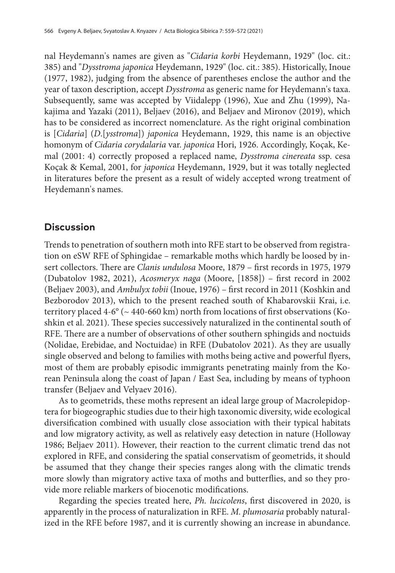nal Heydemann's names are given as "*Cidaria korbi* Heydemann, 1929" (loc. cit.: 385) and "*Dysstroma japonica* Heydemann, 1929" (loc. cit.: 385). Historically, Inoue (1977, 1982), judging from the absence of parentheses enclose the author and the year of taxon description, accept *Dysstroma* as generic name for Heydemann's taxa. Subsequently, same was accepted by Viidalepp (1996), Xue and Zhu (1999), Nakajima and Yazaki (2011), Beljaev (2016), and Beljaev and Mironov (2019), which has to be considered as incorrect nomenclature. As the right original combination is [*Cidaria*] (*D*.[*ysstroma*]) *japonica* Heydemann, 1929, this name is an objective homonym of *Cidaria corydalaria* var. *japonica* Hori, 1926. Accordingly, Koçak, Kemal (2001: 4) correctly proposed a replaced name, *Dysstroma cinereata* ssp. cesa Koçak & Kemal, 2001, for *japonica* Heydemann, 1929, but it was totally neglected in literatures before the present as a result of widely accepted wrong treatment of Heydemann's names.

## **Discussion**

Trends to penetration of southern moth into RFE start to be observed from registration on eSW RFE of Sphingidae – remarkable moths which hardly be loosed by insert collectors. There are *Clanis undulosa* Moore, 1879 – first records in 1975, 1979 (Dubatolov 1982, 2021), *Acosmeryx naga* (Moore, [1858]) – first record in 2002 (Beljaev 2003), and *Ambulyx tobii* (Inoue, 1976) – first record in 2011 (Koshkin and Bezborodov 2013), which to the present reached south of Khabarovskii Krai, i.e. territory placed  $4-6^{\circ}$  ( $\sim 440-660$  km) north from locations of first observations (Koshkin et al. 2021). These species successively naturalized in the continental south of RFE. There are a number of observations of other southern sphingids and noctuids (Nolidae, Erebidae, and Noctuidae) in RFE (Dubatolov 2021). As they are usually single observed and belong to families with moths being active and powerful flyers, most of them are probably episodic immigrants penetrating mainly from the Korean Peninsula along the coast of Japan / East Sea, including by means of typhoon transfer (Beljaev and Velyaev 2016).

As to geometrids, these moths represent an ideal large group of Macrolepidoptera for biogeographic studies due to their high taxonomic diversity, wide ecological diversification combined with usually close association with their typical habitats and low migratory activity, as well as relatively easy detection in nature (Holloway 1986; Beljaev 2011). However, their reaction to the current climatic trend das not explored in RFE, and considering the spatial conservatism of geometrids, it should be assumed that they change their species ranges along with the climatic trends more slowly than migratory active taxa of moths and butterflies, and so they provide more reliable markers of biocenotic modifications.

Regarding the species treated here, *Ph. lucicolens*, first discovered in 2020, is apparently in the process of naturalization in RFE. *M. plumosaria* probably naturalized in the RFE before 1987, and it is currently showing an increase in abundance.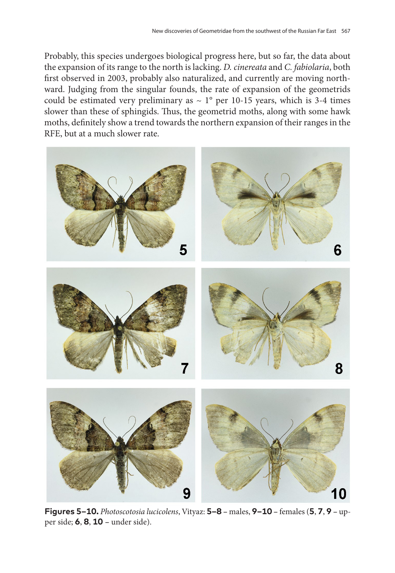Probably, this species undergoes biological progress here, but so far, the data about the expansion of its range to the north is lacking. *D. cinereata* and *C. fabiolaria*, both first observed in 2003, probably also naturalized, and currently are moving northward. Judging from the singular founds, the rate of expansion of the geometrids could be estimated very preliminary as  $\sim 1^{\circ}$  per 10-15 years, which is 3-4 times slower than these of sphingids. Thus, the geometrid moths, along with some hawk moths, definitely show a trend towards the northern expansion of their ranges in the RFE, but at a much slower rate.



**Figures 5–10.** *Photoscotosia lucicolens*, Vityaz: **5–8 –** males, **9–10 –** females (**5**, **7**, **9 –** upper side; **6**, **8**, **10 –** under side).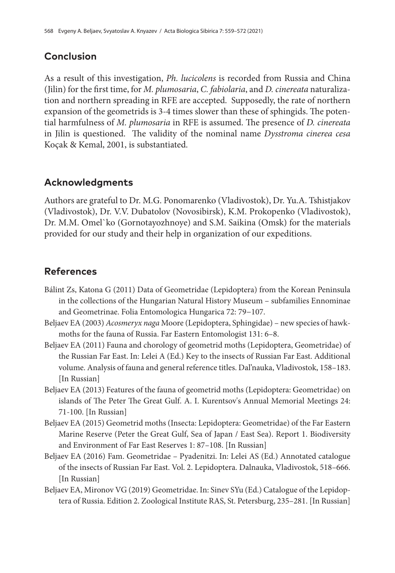## **Conclusion**

As a result of this investigation, *Ph. lucicolens* is recorded from Russia and China (Jilin) for the first time, for *M. plumosaria*, *C. fabiolaria*, and *D. cinereata* naturalization and northern spreading in RFE are accepted. Supposedly, the rate of northern expansion of the geometrids is 3-4 times slower than these of sphingids. The potential harmfulness of *M. plumosaria* in RFE is assumed. The presence of *D. cinereata* in Jilin is questioned. The validity of the nominal name *Dysstroma cinerea cesa* Koçak & Kemal, 2001, is substantiated.

# **Acknowledgments**

Authors are grateful to Dr. M.G. Ponomarenko (Vladivostok), Dr. Yu.A. Tshistjakov (Vladivostok), Dr. V.V. Dubatolov (Novosibirsk), K.M. Prokopenko (Vladivostok), Dr. M.M. Omel`ko (Gornotayozhnoye) and S.M. Saikina (Omsk) for the materials provided for our study and their help in organization of our expeditions.

# **References**

- Bálint Zs, Katona G (2011) Data of Geometridae (Lepidoptera) from the Korean Peninsula in the collections of the Hungarian Natural History Museum – subfamilies Ennominae and Geometrinae. Folia Entomologica Hungarica 72: 79−107.
- Beljaev EA (2003) *Acosmeryx naga* Moore (Lepidoptera, Sphingidae) new species of hawkmoths for the fauna of Russia. Far Eastern Entomologist 131: 6–8.
- Beljaev EA (2011) Fauna and chorology of geometrid moths (Lepidoptera, Geometridae) of the Russian Far East. In: Lelei A (Ed.) Key to the insects of Russian Far East. Additional volume. Analysis of fauna and general reference titles. Dal'nauka, Vladivostok, 158–183. [In Russian]
- Beljaev EA (2013) Features of the fauna of geometrid moths (Lepidoptera: Geometridae) on islands of The Peter The Great Gulf. A. I. Kurentsov's Annual Memorial Meetings 24: 71-100. [In Russian]
- Beljaev EA (2015) Geometrid moths (Insecta: Lepidoptera: Geometridae) of the Far Eastern Marine Reserve (Peter the Great Gulf, Sea of Japan / East Sea). Report 1. Biodiversity and Environment of Far East Reserves 1: 87–108. [In Russian]
- Beljaev EA (2016) Fam. Geometridae Pyadenitzi. In: Lelei AS (Ed.) Annotated catalogue of the insects of Russian Far East. Vol. 2. Lepidoptera. Dalnauka, Vladivostok, 518–666. [In Russian]
- Beljaev EA, Mironov VG (2019) Geometridae. In: Sinev SYu (Ed.) Catalogue of the Lepidoptera of Russia. Edition 2. Zoological Institute RAS, St. Petersburg, 235–281. [In Russian]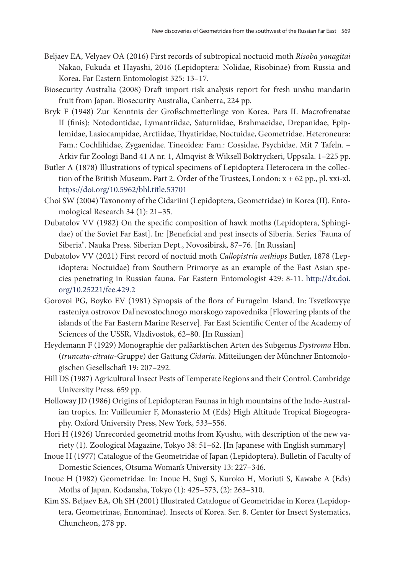- Beljaev EA, Velyaev OA (2016) First records of subtropical noctuoid moth *Risoba yanagitai* Nakao, Fukuda et Hayashi, 2016 (Lepidoptera: Nolidae, Risobinae) from Russia and Korea. Far Eastern Entomologist 325: 13–17.
- Biosecurity Australia (2008) Draft import risk analysis report for fresh unshu mandarin fruit from Japan. Biosecurity Australia, Canberra, 224 pp.
- Bryk F (1948) Zur Kenntnis der Großschmetterlinge von Korea. Pars II. Macrofrenatae II (finis): Notodontidae, Lymantriidae, Saturniidae, Brahmaeidae, Drepanidae, Epiplemidae, Lasiocampidae, Arctiidae, Thyatiridae, Noctuidae, Geometridae. Heteroneura: Fam.: Cochlihidae, Zygaenidae. Tineoidea: Fam.: Cossidae, Psychidae. Mit 7 Tafeln. – Arkiv für Zoologi Band 41 A nr. 1, Almqvist & Wiksell Boktryckeri, Uppsala. 1–225 pp.
- Butler A (1878) Illustrations of typical specimens of Lepidoptera Heterocera in the collection of the British Museum. Part 2. Order of the Trustees, London: x + 62 pp., pl. xxi-xl. <https://doi.org/10.5962/bhl.title.53701>
- Choi SW (2004) Taxonomy of the Cidariini (Lepidoptera, Geometridae) in Korea (II). Entomological Research 34 (1): 21–35.
- Dubatolov VV (1982) On the specific composition of hawk moths (Lepidoptera, Sphingidae) of the Soviet Far East]. In: [Beneficial and pest insects of Siberia. Series "Fauna of Siberia". Nauka Press. Siberian Dept., Novosibirsk, 87–76. [In Russian]
- Dubatolov VV (2021) First record of noctuid moth *Callopistria aethiops* Butler, 1878 (Lepidoptera: Noctuidae) from Southern Primorye as an example of the East Asian species penetrating in Russian fauna. Far Eastern Entomologist 429: 8-11. [http://dx.doi.](http://dx.doi.org/10.25221/fee.429.2) [org/10.25221/fee.429.2](http://dx.doi.org/10.25221/fee.429.2)
- Gorovoi PG, Boyko EV (1981) Synopsis of the flora of Furugelm Island. In: Tsvetkovyye rasteniya ostrovov Dal'nevostochnogo morskogo zapovednika [Flowering plants of the islands of the Far Eastern Marine Reserve]. Far East Scientific Center of the Academy of Sciences of the USSR, Vladivostok, 62–80. [In Russian]
- Heydemann F (1929) Monographie der paläarktischen Arten des Subgenus *Dystroma* Hbn. (*truncata-citrata*-Gruppe) der Gattung *Cidaria*. Mitteilungen der Münchner Entomologischen Gesellschaft 19: 207–292.
- Hill DS (1987) Agricultural Insect Pests of Temperate Regions and their Control. Cambridge University Press. 659 pp.
- Holloway JD (1986) Origins of Lepidopteran Faunas in high mountains of the Indo-Australian tropics. In: Vuilleumier F, Monasterio M (Eds) High Altitude Tropical Biogeography. Oxford University Press, New York, 533–556.
- Hori H (1926) Unrecorded geometrid moths from Kyushu, with description of the new variety (1). Zoological Magazine, Tokyo 38: 51–62. [In Japanese with English summary]
- Inoue H (1977) Catalogue of the Geometridae of Japan (Lepidoptera). Bulletin of Faculty of Domestic Sciences, Otsuma Woman's University 13: 227–346.
- Inoue H (1982) Geometridae. In: Inoue H, Sugi S, Kuroko H, Moriuti S, Kawabe A (Eds) Moths of Japan. Kodansha, Tokyo (1): 425–573, (2): 263–310.
- Kim SS, Beljaev EА, Oh SH (2001) Illustrated Catalogue of Geometridae in Korea (Lepidoptera, Geometrinae, Ennominae). Insects of Korea. Ser. 8. Center for Insect Systematics, Chuncheon, 278 pp.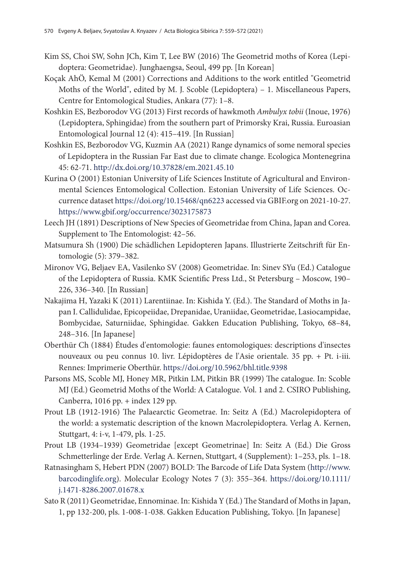- Kim SS, Choi SW, Sohn JCh, Kim T, Lee BW (2016) The Geometrid moths of Korea (Lepidoptera: Geometridae). Junghaengsa, Seoul, 499 pp. [In Korean]
- Koçak AhÖ, Kemal M (2001) Corrections and Additions to the work entitled "Geometrid Moths of the World", edited by M. J. Scoble (Lepidoptera) – 1. Miscellaneous Papers, Centre for Entomological Studies, Ankara (77): 1–8.
- Koshkin ES, Bezborodov VG (2013) First records of hawkmoth *Ambulyx tobii* (Inoue, 1976) (Lepidoptera, Sphingidae) from the southern part of Primorsky Krai, Russia. Euroasian Entomological Journal 12 (4): 415–419. [In Russian]
- Koshkin ES, Bezborodov VG, Kuzmin AA (2021) Range dynamics of some nemoral species of Lepidoptera in the Russian Far East due to climate change. Ecologica Montenegrina 45: 62-71. <http://dx.doi.org/10.37828/em.2021.45.10>
- Kurina O (2001) Estonian University of Life Sciences Institute of Agricultural and Environmental Sciences Entomological Collection. Estonian University of Life Sciences. Occurrence dataset [https://doi.org/10.15468/qn6223]( https://doi.org/10.15468/qn6223) accessed via GBIF.org on 2021-10-27. <https://www.gbif.org/occurrence/3023175873>
- Leech JH (1891) Descriptions of New Species of Geometridae from China, Japan and Corea. Supplement to The Entomologist: 42–56.
- Matsumura Sh (1900) Die schädlichen Lepidopteren Japans. Illustrierte Zeitschrift für Entomologie (5): 379–382.
- Mironov VG, Beljaev EA, Vasilenko SV (2008) Geometridae. In: Sinev SYu (Ed.) Catalogue of the Lepidoptera of Russia. KMK Scientific Press Ltd., St Petersburg – Moscow, 190– 226, 336–340. [In Russian]
- Nakajima H, Yazaki K (2011) Larentiinae. In: Kishida Y. (Ed.). The Standard of Moths in Japan I. Callidulidae, Epicopeiidae, Drepanidae, Uraniidae, Geometridae, Lasiocampidae, Bombycidae, Saturniidae, Sphingidae. Gakken Education Publishing, Tokyo, 68–84, 248–316. [In Japanese]
- Oberthür Ch (1884) Études d'entomologie: faunes entomologiques: descriptions d'insectes nouveaux ou peu connus 10. livr. Lépidoptères de l'Asie orientale. 35 pp. + Pt. i-iii. Rennes: Imprimerie Oberthür.<https://doi.org/10.5962/bhl.title.9398>
- Parsons MS, Scoble MJ, Honey MR, Pitkin LM, Pitkin BR (1999) The catalogue. In: Scoble MJ (Ed.) Geometrid Moths of the World: A Catalogue. Vol. 1 and 2. CSIRO Publishing, Canberra, 1016 pp. + index 129 pp.
- Prout LB (1912-1916) The Palaearctic Geometrae. In: Seitz A (Ed.) Macrolepidoptera of the world: a systematic description of the known Macrolepidoptera. Verlag A. Kernen, Stuttgart, 4: i-v, 1-479, pls. 1-25.
- Prout LB (1934–1939) Geometridae [except Geometrinae] In: Seitz A (Ed.) Die Gross Schmetterlinge der Erde. Verlag A. Kernen, Stuttgart, 4 (Supplement): 1–253, pls. 1–18.
- Ratnasingham S, Hebert PDN (2007) BOLD: The Barcode of Life Data System ([http://www.](http://www.barcodinglife.org) [barcodinglife.org\)](http://www.barcodinglife.org). Molecular Ecology Notes 7 (3): 355–364. [https://doi.org/10.1111/](https://doi.org/10.1111/j.1471-8286.2007.01678.x) [j.1471-8286.2007.01678.x](https://doi.org/10.1111/j.1471-8286.2007.01678.x)
- Sato R (2011) Geometridae, Ennominae. In: Kishida Y (Ed.) The Standard of Moths in Japan, 1, pp 132-200, pls. 1-008-1-038. Gakken Education Publishing, Tokyo. [In Japanese]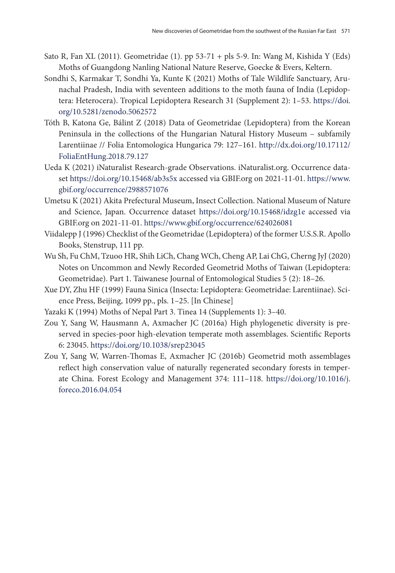- Sato R, Fan XL (2011). Geometridae (1). pp 53-71 + pls 5-9. In: Wang M, Kishida Y (Eds) Moths of Guangdong Nanling National Nature Reserve, Goecke & Evers, Keltern.
- Sondhi S, Karmakar T, Sondhi Ya, Kunte K (2021) Moths of Tale Wildlife Sanctuary, Arunachal Pradesh, India with seventeen additions to the moth fauna of India (Lepidoptera: Heterocera). Tropical Lepidoptera Research 31 (Supplement 2): 1–53. [https://doi.](https://doi.org/10.5281/zenodo.5062572) [org/10.5281/zenodo.5062572](https://doi.org/10.5281/zenodo.5062572)
- Tóth B, Katona Ge, Bálint Z (2018) Data of Geometridae (Lepidoptera) from the Korean Peninsula in the collections of the Hungarian Natural History Museum – subfamily Larentiinae // Folia Entomologica Hungarica 79: 127–161. [http://dx.doi.org/10.17112/](http://dx.doi.org/10.17112/FoliaEntHung.2018.79.127) [FoliaEntHung.2018.79.127](http://dx.doi.org/10.17112/FoliaEntHung.2018.79.127)
- Ueda K (2021) iNaturalist Research-grade Observations. iNaturalist.org. Occurrence dataset <https://doi.org/10.15468/ab3s5x>accessed via GBIF.org on 2021-11-01. [https://www.](http://dx.doi.org/10.17112/FoliaEntHung.2018.79.127) [gbif.org/occurrence/2988571076](http://dx.doi.org/10.17112/FoliaEntHung.2018.79.127)
- Umetsu K (2021) Akita Prefectural Museum, Insect Collection. National Museum of Nature and Science, Japan. Occurrence dataset [https://doi.org/10.15468/idzg1e](https://www.researchgate.net/publication/331894159_Data_of_Geometridae_Lepidoptera_from_the_Korean_Peninsula_in_the_collections_of_the_Hungarian_Natural_History_Museum-subfamily_Larentiinae) accessed via GBIF.org on 2021-11-01. <https://www.gbif.org/occurrence/624026081>
- Viidalepp J (1996) Checklist of the Geometridae (Lepidoptera) of the former U.S.S.R. Apollo Books, Stenstrup, 111 pp.
- Wu Sh, Fu ChM, Tzuoo HR, Shih LiCh, Chang WCh, Cheng AP, Lai ChG, Cherng JyJ (2020) Notes on Uncommon and Newly Recorded Geometrid Moths of Taiwan (Lepidoptera: Geometridae). Part 1. Taiwanese Journal of Entomological Studies 5 (2): 18–26.
- Xue DY, Zhu HF (1999) Fauna Sinica (Insecta: Lepidoptera: Geometridae: Larentiinae). Science Press, Beijing, 1099 pp., pls. 1–25. [In Chinese]
- Yazaki K (1994) Moths of Nepal Part 3. Tinea 14 (Supplements 1): 3–40.
- Zou Y, Sang W, Hausmann A, Axmacher JC (2016a) High phylogenetic diversity is preserved in species-poor high-elevation temperate moth assemblages. Scientific Reports 6: 23045.<https://doi.org/10.1038/srep23045>
- Zou Y, Sang W, Warren-Thomas E, Axmacher JC (2016b) Geometrid moth assemblages reflect high conservation value of naturally regenerated secondary forests in temperate China. Forest Ecology and Management 374: 111–118. [https://doi.org/10.1016/j.](https://doi.org/10.1016/j.foreco.2016.04.054) [foreco.2016.04.054](https://doi.org/10.1016/j.foreco.2016.04.054)